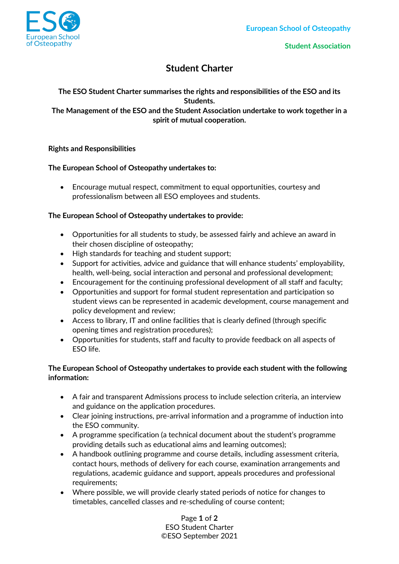

# **Student Charter**

# **The ESO Student Charter summarises the rights and responsibilities of the ESO and its Students.**

**The Management of the ESO and the Student Association undertake to work together in a spirit of mutual cooperation.**

#### **Rights and Responsibilities**

#### **The European School of Osteopathy undertakes to:**

• Encourage mutual respect, commitment to equal opportunities, courtesy and professionalism between all ESO employees and students.

#### **The European School of Osteopathy undertakes to provide:**

- Opportunities for all students to study, be assessed fairly and achieve an award in their chosen discipline of osteopathy;
- High standards for teaching and student support;
- Support for activities, advice and guidance that will enhance students' employability, health, well-being, social interaction and personal and professional development;
- Encouragement for the continuing professional development of all staff and faculty;
- Opportunities and support for formal student representation and participation so student views can be represented in academic development, course management and policy development and review;
- Access to library, IT and online facilities that is clearly defined (through specific opening times and registration procedures);
- Opportunities for students, staff and faculty to provide feedback on all aspects of ESO life.

# **The European School of Osteopathy undertakes to provide each student with the following information:**

- A fair and transparent Admissions process to include selection criteria, an interview and guidance on the application procedures.
- Clear joining instructions, pre-arrival information and a programme of induction into the ESO community.
- A programme specification (a technical document about the student's programme providing details such as educational aims and learning outcomes);
- A handbook outlining programme and course details, including assessment criteria, contact hours, methods of delivery for each course, examination arrangements and regulations, academic guidance and support, appeals procedures and professional requirements;
- Where possible, we will provide clearly stated periods of notice for changes to timetables, cancelled classes and re-scheduling of course content;

Page **1** of **2** ESO Student Charter ©ESO September 2021